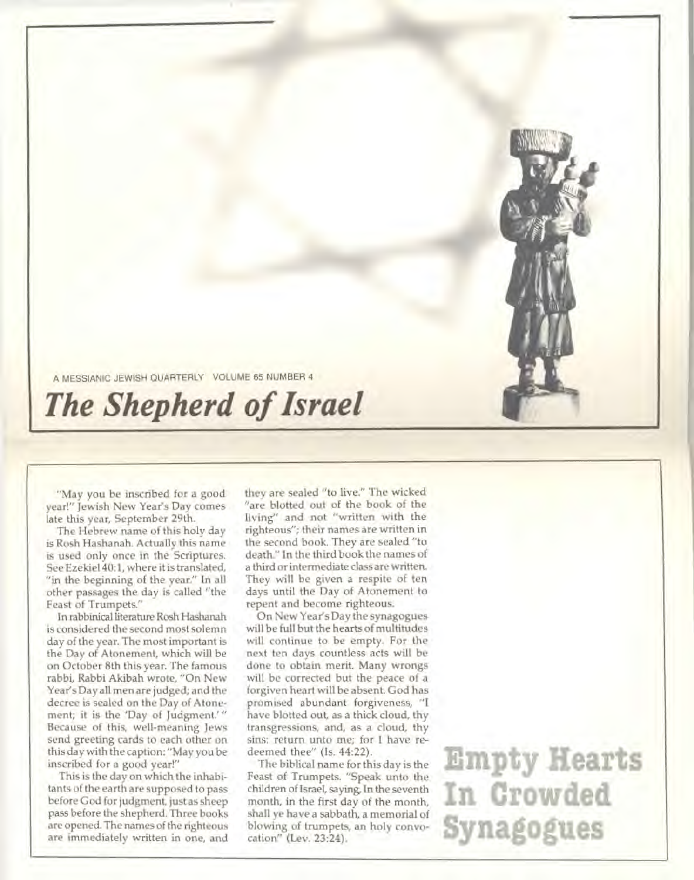

A MESSIANIC JEWISH QUARTERLY VOLUME 65 NUMBER 4

## *The Shepherd of Israel*

"May you be inscribed for a good year!" Jewish New Year's Day comes late this year, September 29th.

The Hebrew name of this holy day is Rosh Hashanah. Actually this name is used only once in the Scriptures. See Ezekiel 40:1, where it is translated, "in the beginning of the year." In all other passages the day is called "the Feast of Trumpets."

In rabbinical literature Rosh Hashanah is considered the second most solemn day of the year. The most important is the Day of Atonement, which will be on October 8th this year. The famous rabbi, Rabbi Akibah wrote, "On New Year's Day all men are judged; and the decree is sealed on the Day of Atonement; it is the 'Day of Judgment.' " Because of this, well-meaning Jews send greeting cards to each other on this day with the caption: "May you be inscribed for a good year!"

This is the day on which the inhabitants of the earth are supposed to pass before God for judgment, just as sheep pass before the shepherd. Three books are opened. The names of the righteous are immediately written in one, and they are sealed "to live." The wicked "are blotted out of the book of the living" and not "written with the righteous"; their names are written in the second book. They are sealed "to death." In the third book the names of a third or intermediate class are written. They will be given a respite of ten days until the Day of Atonement to repent and become righteous.

On New Year's Day the synagogues will be full but the hearts of multitudes will continue to be empty. For the next ten days countless acts will be done to obtain merit. Many wrongs will be corrected but the peace of a forgiven heart will be absent. God has promised abundant forgiveness, "I have blotted out, as a thick cloud, thy transgressions, and, as a cloud, thy sins: return unto me; for I have redeemed thee" (Is. 44:22).

The biblical name for this day is the Feast of Trumpets. "Speak unto the children of Israel, saying, In the seventh month, in the first day of the month, shall ye have a sabbath, a memorial of blowing of trumpets, an holy convocation" (Lev. 23:24).

**Empty Hearts In Crowded Synagogues**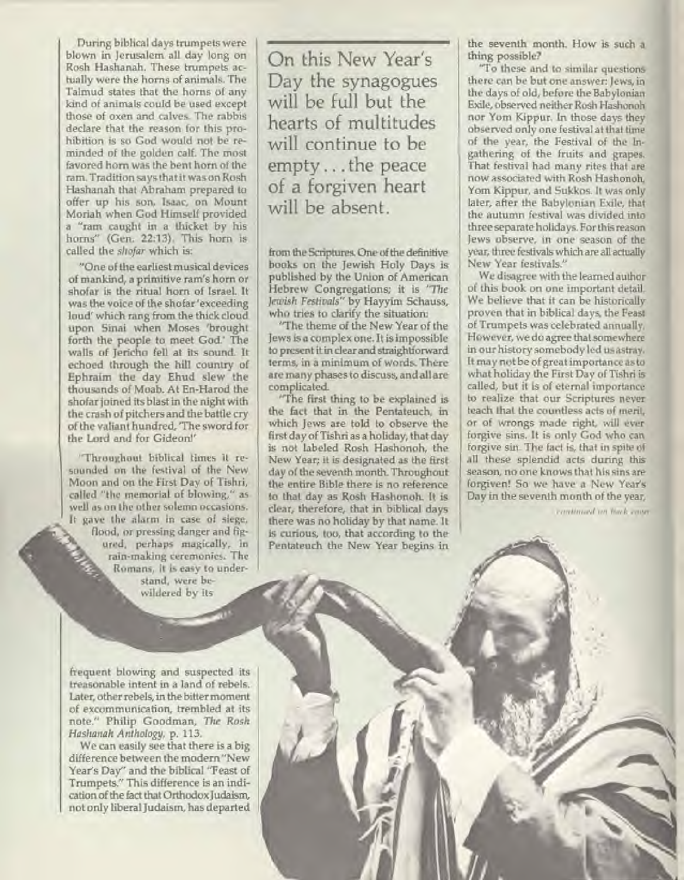**During biblical days trumpets were blown in Jerusalem all day long on Rosh Hashanah. These trumpets actually were the horns of animals. The Talmud states that the horns of any kind of animals could be used except those of oxen and calves. The rabbis declare that the reason for this prohibition is so God would not be reminded of the golden calf. The most favored horn was the bent horn of the ram. Tradition says that it was on Rosh Hashanah that Abraham prepared to offer up his son, Isaac, on Mount Moriah when God Himself provided a "ram caught in a thicket by his horns" (Gen. 22:13). This horn is called the** *shofar* **which** is:

**"One of the earliest musical devices of mankind, a primitive ram's horn or shofar is the ritual horn of Israel. It was the voice of the shofar 'exceeding loud' which rang from the thick cloud upon Sinai when Moses 'brought forth the people to meet God.' The walls of Jericho fell at its sound. It echoed through the hill country of Ephraim the day Ehud slew the thousands of Moab. At En-Harod the shofar joined its blast in the night with the crash of pitchers and the battle cry of the valiant hundred, 'The sword for the Lord and for** Gideon!'

"Throughout biblical times it resounded on the festival of the New Moon and on the First Day of Tishri, called "the memorial of blowing," as well as on the other solemn occasions. It gave the alarm in case of siege, flood, or pressing danger and figured, perhaps magically, in rain-making ceremonies. The Romans, it is easy to understand, were bewildered by its

**On this New Year's Day the synagogues will be full but the hearts of multitudes will continue to be empty ... the peace of a forgiven heart**  will be absent.

**from the Scriptures. One of the definitive books on the Jewish Holy Days is published by the Union of American Hebrew Congregations; it is** *"The Jewish Festivals"* by Hayyim **Schauss, who tries to clarify the situation:** 

**'The theme of the New Year of the Jews is a complex one. It is impossible to present it in clear and straightforward terms, in a minimum of words. There are many phases to discuss, and all are complicated.** 

**"The first thing to be explained is the fact that in the Pentateuch, in which Jews are told to observe the first day of Tishri as a holiday, that day is not labeled Rosh Hashonoh, the New Year; it is designated as the first day of the seventh month. Throughout the entire Bible there is no reference to that day as Rosh Hashonoh. It is clear, therefore, that in biblical days there was no holiday by that name. It is curious, too, that according to the Pentateuch the New Year begins in** 

**the seventh month. How is such a thing possible?** 

**"To these and to similar** questions there can **be but one** answer: Jews, in the days of old, before the Babylonian Exile, observed neither Rosh Hashonoh nor Yom Kippur. In those days they observed only one festival at that time of the year, the Festival of the Ingathering of the fruits and grapes. That festival had many rites that are now associated with Rosh Hashonoh, Yom Kippur, and Sukkos. It was only later, after the Babylonian Exile, that the autumn festival was divided into three separate holidays. For this reason Jews observe, in one season of the year, three festivals which are all actually New Year festivals."

We disagree with the learned author of this book on one important detail. We believe that it can be historically proven that in biblical days, the Feast of Trumpets was celebrated annually. However, we do agree that somewhere in our history somebody led us astray. It may not be of great importance as to what holiday the First Day of Tishri is called, but it is of eternal importance to realize that our Scriptures never teach that the countless acts of merit, or of wrongs made right, will ever forgive sins. It is only God who can forgive sin. The fact is, that in spite of all these splendid acts during this season, no one knows that his sins are forgiven! So we have a New Year's Day in the seventh month of the year,

*continued on back cover* 

**frequent blowing and suspected its treasonable intent in a land of rebels. Later, other rebels, in the bitter moment of excommunication, trembled at its note." Philip Goodman,** *The Rosh Hashanah Anthology,* **p. 113.** 

**We can easily see that there is a big difference between the modern "New Year's Day" and the biblical "Feast of Trumpets." This difference is an indication of the fact that Orthodox Judaism, not only liberal Judaism, has departed**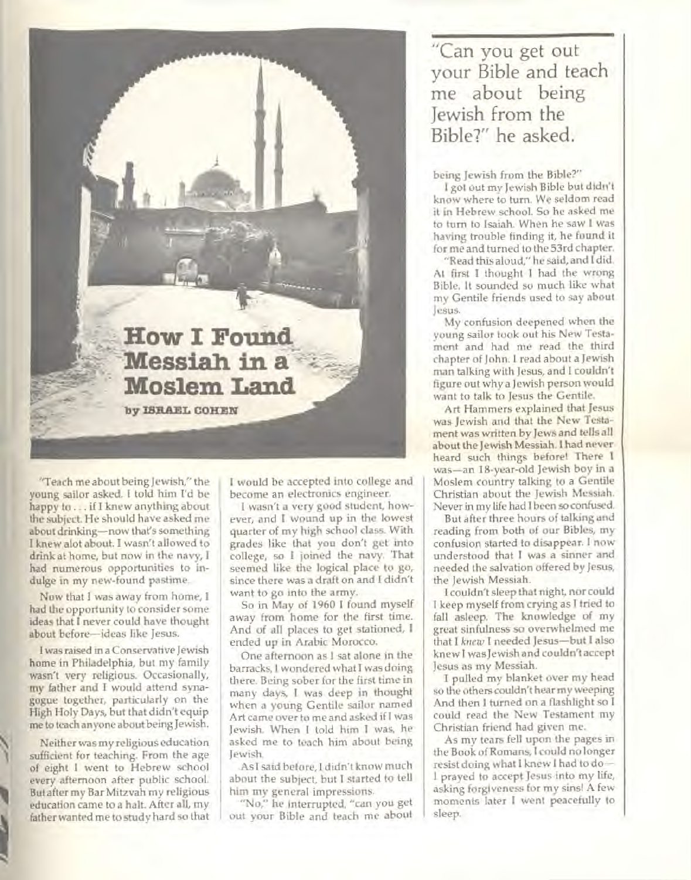**How I Found** Messiah in a **Moslem Land** 

by ISRAEL COHEN

**"Teach me about being Jewish," the young sailor asked. I told him I'd be happy to .. . if I knew anything about the subject. He should have asked me about drinking—now that's something I knew alot about. I wasn't allowed to drink at home, but now in the navy, I had numerous opportunities to indulge in my new-found pastime.** 

**Now that I was away from home, I had the opportunity to consider some ideas that I never could have thought about before—ideas like Jesus.** 

**I was raised in a Conservative Jewish home in Philadelphia, but my family wasn't very religious. Occasionally, my father and I would attend synagogue together, particularly on the High Holy Days, but that didn't equip me to teach anyone about being Jewish.** 

**Neither was my religious education sufficient for teaching. From the age of eight I went to Hebrew school every afternoon after public school. But after my Bar Mitzvah my religious education came to a halt. After all, my father wanted me to study hard so that** 

**I would be accepted into college and become an electronics engineer.** 

**I wasn't a very good student, however, and I wound up in the lowest quarter of my high school class. With grades like that you don't get into college, so I joined the navy. That seemed like the logical place to go, since there was a draft on and I didn't want to go into the army.** 

**So in May of 1960 I found myself**  away **from home for the first time. And of all places to get stationed, I ended up in Arabic Morocco.** 

**One afternoon as I sat alone in the barracks, I wondered what I was doing there. Being sober for the first time in many days, I was deep in thought when a young Gentile sailor named Art came over to me and asked if I was Jewish. When I told him I was, he asked me to teach him about being Jewish.** 

**As I said before, I didn't know much about the subject, but I started to tell him my general impressions.** 

**"No," he interrupted, "can you get out your Bible and teach me about** 

"Can you get out your Bible and teach me about being Jewish from the Bible?" he asked.

**being Jewish from the Bible?"** 

**I got out my Jewish Bible but didn't know where to turn. We seldom read it in Hebrew school. So he asked me to turn to Isaiah. When he saw I was having trouble finding it, he found it for me and turned to the 53rd chapter.** 

**"Read this aloud," he said, and I did. At first I thought I had the wrong Bible. It sounded so much like what my Gentile friends used to say about Jesus.** 

**My confusion deepened when the young sailor took out his New Testament and had me read the third chapter of John. I read about a Jewish man talking with Jesus, and I couldn't figure out why a Jewish person would want to talk to Jesus the Gentile.** 

**Art Hammers explained that Jesus was Jewish and that the New Testament was written by Jews and tells all about the Jewish Messiah. I had never heard such things before! There I was—an 18-year-old Jewish boy in a Moslem country talking to a Gentile Christian about the Jewish Messiah. Never in my life had I been so confused.** 

**But after three hours of talking and reading from both of our Bibles, my confusion started to disappear. I now understood that I was a sinner and needed the salvation offered by Jesus, the Jewish Messiah.** 

**I couldn't sleep that night, nor could I keep myself from crying as I tried to fall asleep. The knowledge of my great sinfulness so overwhelmed me that I** *knew* **I needed Jesus—but I also knew I was Jewish and couldn't accept Jesus as my Messiah.** 

**I pulled my blanket over my head so the others couldn't hear my weeping And then I turned on a flashlight so I could read the New Testament my Christian friend had given me.** 

**As my tears fell upon the pages in the Book of Romans, I could no longer resist doing what I knew I had to do— I prayed to accept Jesus into my life, asking forgiveness for my sins! A few moments later I went peacefully to sleep.**